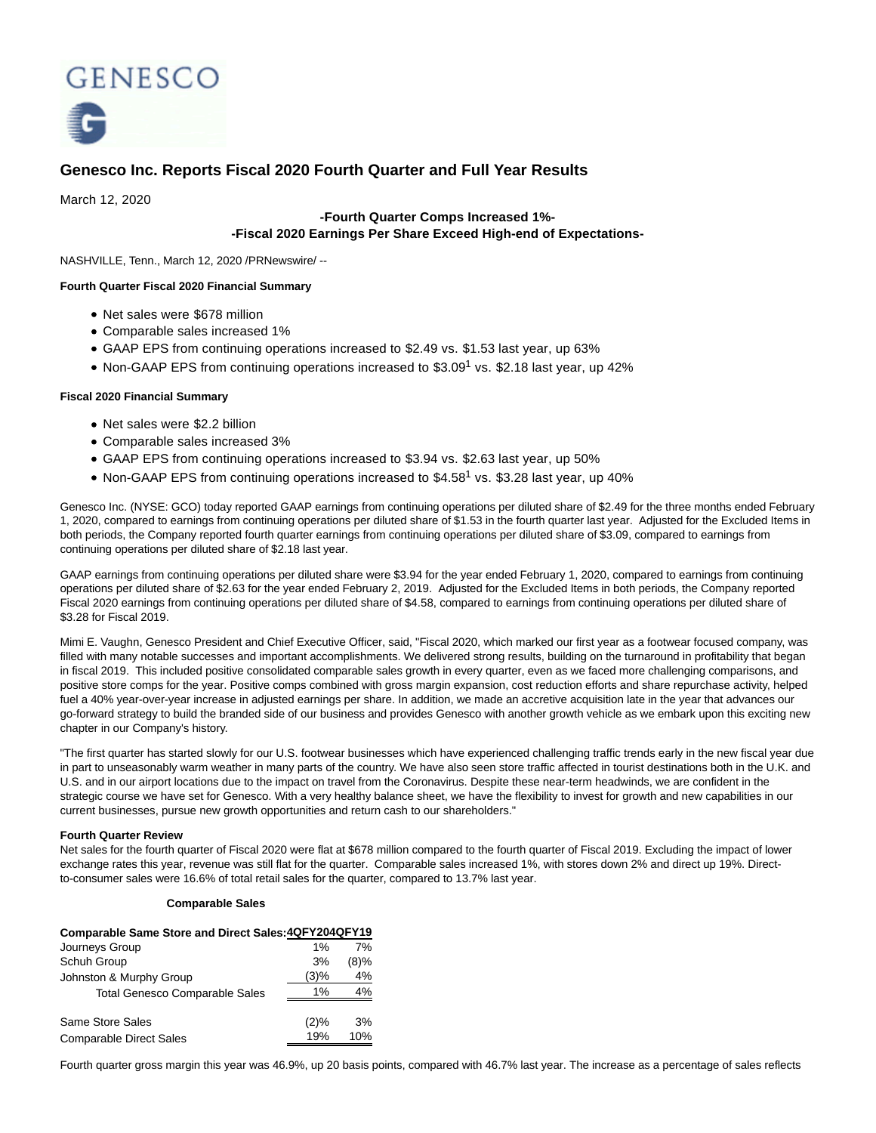

# **Genesco Inc. Reports Fiscal 2020 Fourth Quarter and Full Year Results**

March 12, 2020

## **-Fourth Quarter Comps Increased 1%- -Fiscal 2020 Earnings Per Share Exceed High-end of Expectations-**

NASHVILLE, Tenn., March 12, 2020 /PRNewswire/ --

### **Fourth Quarter Fiscal 2020 Financial Summary**

- Net sales were \$678 million
- Comparable sales increased 1%
- GAAP EPS from continuing operations increased to \$2.49 vs. \$1.53 last year, up 63%
- Non-GAAP EPS from continuing operations increased to \$3.09<sup>1</sup> vs. \$2.18 last year, up 42%

### **Fiscal 2020 Financial Summary**

- Net sales were \$2.2 billion
- Comparable sales increased 3%
- GAAP EPS from continuing operations increased to \$3.94 vs. \$2.63 last year, up 50%
- Non-GAAP EPS from continuing operations increased to \$4.58<sup>1</sup> vs. \$3.28 last year, up 40%

Genesco Inc. (NYSE: GCO) today reported GAAP earnings from continuing operations per diluted share of \$2.49 for the three months ended February 1, 2020, compared to earnings from continuing operations per diluted share of \$1.53 in the fourth quarter last year. Adjusted for the Excluded Items in both periods, the Company reported fourth quarter earnings from continuing operations per diluted share of \$3.09, compared to earnings from continuing operations per diluted share of \$2.18 last year.

GAAP earnings from continuing operations per diluted share were \$3.94 for the year ended February 1, 2020, compared to earnings from continuing operations per diluted share of \$2.63 for the year ended February 2, 2019. Adjusted for the Excluded Items in both periods, the Company reported Fiscal 2020 earnings from continuing operations per diluted share of \$4.58, compared to earnings from continuing operations per diluted share of \$3.28 for Fiscal 2019.

Mimi E. Vaughn, Genesco President and Chief Executive Officer, said, "Fiscal 2020, which marked our first year as a footwear focused company, was filled with many notable successes and important accomplishments. We delivered strong results, building on the turnaround in profitability that began in fiscal 2019. This included positive consolidated comparable sales growth in every quarter, even as we faced more challenging comparisons, and positive store comps for the year. Positive comps combined with gross margin expansion, cost reduction efforts and share repurchase activity, helped fuel a 40% year-over-year increase in adjusted earnings per share. In addition, we made an accretive acquisition late in the year that advances our go-forward strategy to build the branded side of our business and provides Genesco with another growth vehicle as we embark upon this exciting new chapter in our Company's history.

"The first quarter has started slowly for our U.S. footwear businesses which have experienced challenging traffic trends early in the new fiscal year due in part to unseasonably warm weather in many parts of the country. We have also seen store traffic affected in tourist destinations both in the U.K. and U.S. and in our airport locations due to the impact on travel from the Coronavirus. Despite these near-term headwinds, we are confident in the strategic course we have set for Genesco. With a very healthy balance sheet, we have the flexibility to invest for growth and new capabilities in our current businesses, pursue new growth opportunities and return cash to our shareholders."

### **Fourth Quarter Review**

Net sales for the fourth quarter of Fiscal 2020 were flat at \$678 million compared to the fourth quarter of Fiscal 2019. Excluding the impact of lower exchange rates this year, revenue was still flat for the quarter. Comparable sales increased 1%, with stores down 2% and direct up 19%. Directto-consumer sales were 16.6% of total retail sales for the quarter, compared to 13.7% last year.

### **Comparable Sales**

| Comparable Same Store and Direct Sales: 4QFY204QFY19 |       |         |
|------------------------------------------------------|-------|---------|
| Journeys Group                                       | $1\%$ | 7%      |
| Schuh Group                                          | 3%    | $(8)\%$ |
| Johnston & Murphy Group                              | (3)%  | 4%      |
| <b>Total Genesco Comparable Sales</b>                | 1%    | 4%      |
| Same Store Sales                                     | (2)%  | 3%      |
| <b>Comparable Direct Sales</b>                       | 19%   | 10%     |

Fourth quarter gross margin this year was 46.9%, up 20 basis points, compared with 46.7% last year. The increase as a percentage of sales reflects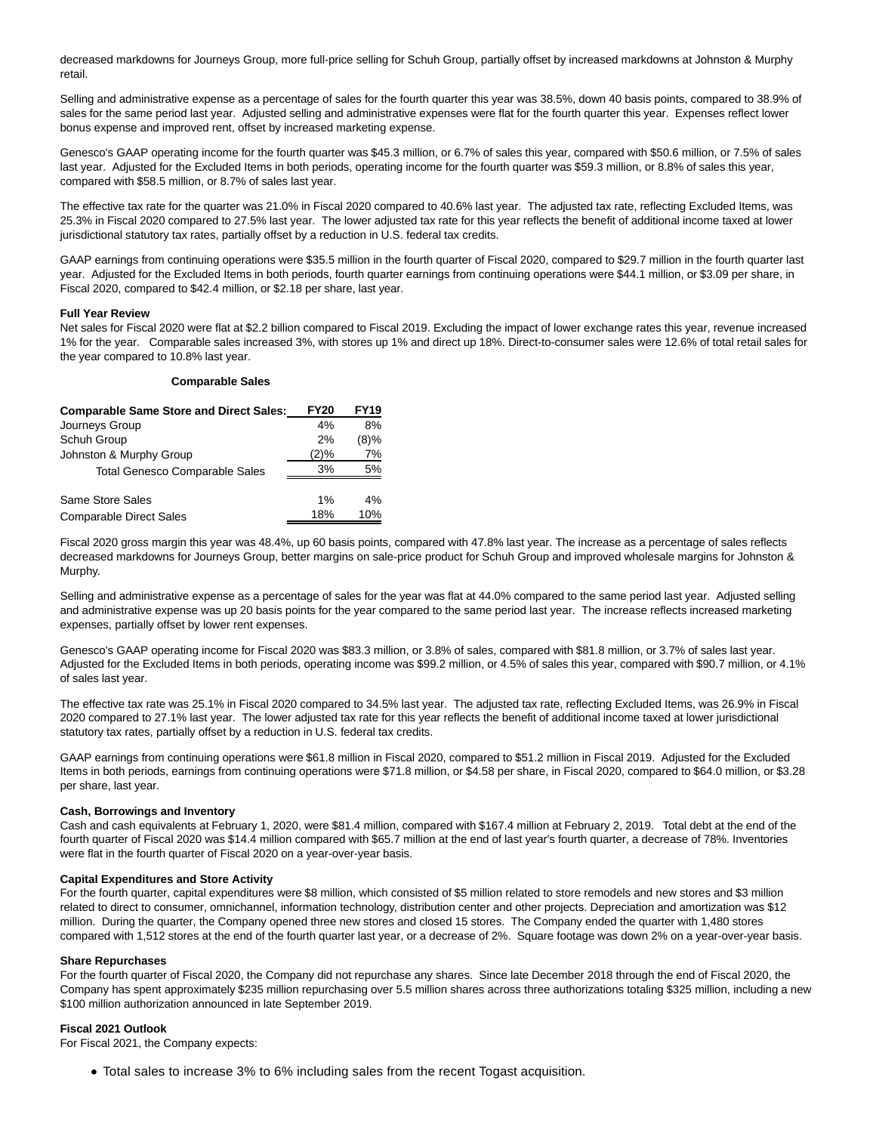decreased markdowns for Journeys Group, more full-price selling for Schuh Group, partially offset by increased markdowns at Johnston & Murphy retail.

Selling and administrative expense as a percentage of sales for the fourth quarter this year was 38.5%, down 40 basis points, compared to 38.9% of sales for the same period last year. Adjusted selling and administrative expenses were flat for the fourth quarter this year. Expenses reflect lower bonus expense and improved rent, offset by increased marketing expense.

Genesco's GAAP operating income for the fourth quarter was \$45.3 million, or 6.7% of sales this year, compared with \$50.6 million, or 7.5% of sales last year. Adjusted for the Excluded Items in both periods, operating income for the fourth quarter was \$59.3 million, or 8.8% of sales this year, compared with \$58.5 million, or 8.7% of sales last year.

The effective tax rate for the quarter was 21.0% in Fiscal 2020 compared to 40.6% last year. The adjusted tax rate, reflecting Excluded Items, was 25.3% in Fiscal 2020 compared to 27.5% last year. The lower adjusted tax rate for this year reflects the benefit of additional income taxed at lower jurisdictional statutory tax rates, partially offset by a reduction in U.S. federal tax credits.

GAAP earnings from continuing operations were \$35.5 million in the fourth quarter of Fiscal 2020, compared to \$29.7 million in the fourth quarter last year. Adjusted for the Excluded Items in both periods, fourth quarter earnings from continuing operations were \$44.1 million, or \$3.09 per share, in Fiscal 2020, compared to \$42.4 million, or \$2.18 per share, last year.

### **Full Year Review**

Net sales for Fiscal 2020 were flat at \$2.2 billion compared to Fiscal 2019. Excluding the impact of lower exchange rates this year, revenue increased 1% for the year. Comparable sales increased 3%, with stores up 1% and direct up 18%. Direct-to-consumer sales were 12.6% of total retail sales for the year compared to 10.8% last year.

### **Comparable Sales**

| <b>Comparable Same Store and Direct Sales:</b> | <b>FY20</b> | <b>FY19</b> |
|------------------------------------------------|-------------|-------------|
| Journeys Group                                 | 4%          | 8%          |
| Schuh Group                                    | 2%          | (8)%        |
| Johnston & Murphy Group                        | (2)%        | 7%          |
| <b>Total Genesco Comparable Sales</b>          | 3%          | 5%          |
| Same Store Sales                               | $1\%$       | 4%          |
| <b>Comparable Direct Sales</b>                 | 18%         | 10%         |

Fiscal 2020 gross margin this year was 48.4%, up 60 basis points, compared with 47.8% last year. The increase as a percentage of sales reflects decreased markdowns for Journeys Group, better margins on sale-price product for Schuh Group and improved wholesale margins for Johnston & Murphy.

Selling and administrative expense as a percentage of sales for the year was flat at 44.0% compared to the same period last year. Adjusted selling and administrative expense was up 20 basis points for the year compared to the same period last year. The increase reflects increased marketing expenses, partially offset by lower rent expenses.

Genesco's GAAP operating income for Fiscal 2020 was \$83.3 million, or 3.8% of sales, compared with \$81.8 million, or 3.7% of sales last year. Adjusted for the Excluded Items in both periods, operating income was \$99.2 million, or 4.5% of sales this year, compared with \$90.7 million, or 4.1% of sales last year.

The effective tax rate was 25.1% in Fiscal 2020 compared to 34.5% last year. The adjusted tax rate, reflecting Excluded Items, was 26.9% in Fiscal 2020 compared to 27.1% last year. The lower adjusted tax rate for this year reflects the benefit of additional income taxed at lower jurisdictional statutory tax rates, partially offset by a reduction in U.S. federal tax credits.

GAAP earnings from continuing operations were \$61.8 million in Fiscal 2020, compared to \$51.2 million in Fiscal 2019. Adjusted for the Excluded Items in both periods, earnings from continuing operations were \$71.8 million, or \$4.58 per share, in Fiscal 2020, compared to \$64.0 million, or \$3.28 per share, last year.

### **Cash, Borrowings and Inventory**

Cash and cash equivalents at February 1, 2020, were \$81.4 million, compared with \$167.4 million at February 2, 2019. Total debt at the end of the fourth quarter of Fiscal 2020 was \$14.4 million compared with \$65.7 million at the end of last year's fourth quarter, a decrease of 78%. Inventories were flat in the fourth quarter of Fiscal 2020 on a year-over-year basis.

#### **Capital Expenditures and Store Activity**

For the fourth quarter, capital expenditures were \$8 million, which consisted of \$5 million related to store remodels and new stores and \$3 million related to direct to consumer, omnichannel, information technology, distribution center and other projects. Depreciation and amortization was \$12 million. During the quarter, the Company opened three new stores and closed 15 stores. The Company ended the quarter with 1,480 stores compared with 1,512 stores at the end of the fourth quarter last year, or a decrease of 2%. Square footage was down 2% on a year-over-year basis.

#### **Share Repurchases**

For the fourth quarter of Fiscal 2020, the Company did not repurchase any shares. Since late December 2018 through the end of Fiscal 2020, the Company has spent approximately \$235 million repurchasing over 5.5 million shares across three authorizations totaling \$325 million, including a new \$100 million authorization announced in late September 2019.

### **Fiscal 2021 Outlook**

For Fiscal 2021, the Company expects:

Total sales to increase 3% to 6% including sales from the recent Togast acquisition.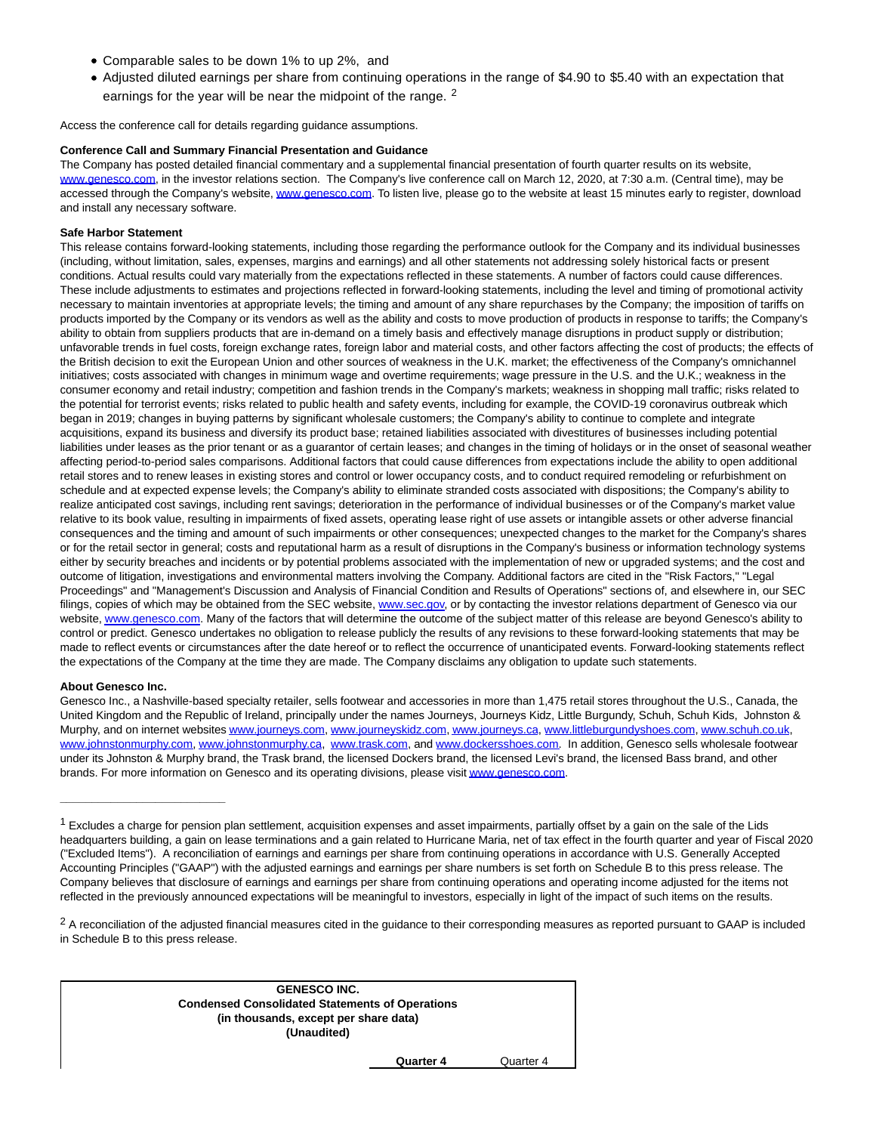- Comparable sales to be down 1% to up 2%, and
- Adjusted diluted earnings per share from continuing operations in the range of \$4.90 to \$5.40 with an expectation that earnings for the year will be near the midpoint of the range. <sup>2</sup>

Access the conference call for details regarding guidance assumptions.

### **Conference Call and Summary Financial Presentation and Guidance**

The Company has posted detailed financial commentary and a supplemental financial presentation of fourth quarter results on its website, [www.genesco.com,](https://c212.net/c/link/?t=0&l=en&o=2747594-1&h=3833774373&u=http%3A%2F%2Fwww.genesco.com%2F&a=www.genesco.com) in the investor relations section. The Company's live conference call on March 12, 2020, at 7:30 a.m. (Central time), may be accessed through the Company's website[, www.genesco.com.](https://c212.net/c/link/?t=0&l=en&o=2747594-1&h=3833774373&u=http%3A%2F%2Fwww.genesco.com%2F&a=www.genesco.com) To listen live, please go to the website at least 15 minutes early to register, download and install any necessary software.

### **Safe Harbor Statement**

This release contains forward-looking statements, including those regarding the performance outlook for the Company and its individual businesses (including, without limitation, sales, expenses, margins and earnings) and all other statements not addressing solely historical facts or present conditions. Actual results could vary materially from the expectations reflected in these statements. A number of factors could cause differences. These include adjustments to estimates and projections reflected in forward-looking statements, including the level and timing of promotional activity necessary to maintain inventories at appropriate levels; the timing and amount of any share repurchases by the Company; the imposition of tariffs on products imported by the Company or its vendors as well as the ability and costs to move production of products in response to tariffs; the Company's ability to obtain from suppliers products that are in-demand on a timely basis and effectively manage disruptions in product supply or distribution; unfavorable trends in fuel costs, foreign exchange rates, foreign labor and material costs, and other factors affecting the cost of products; the effects of the British decision to exit the European Union and other sources of weakness in the U.K. market; the effectiveness of the Company's omnichannel initiatives; costs associated with changes in minimum wage and overtime requirements; wage pressure in the U.S. and the U.K.; weakness in the consumer economy and retail industry; competition and fashion trends in the Company's markets; weakness in shopping mall traffic; risks related to the potential for terrorist events; risks related to public health and safety events, including for example, the COVID-19 coronavirus outbreak which began in 2019; changes in buying patterns by significant wholesale customers; the Company's ability to continue to complete and integrate acquisitions, expand its business and diversify its product base; retained liabilities associated with divestitures of businesses including potential liabilities under leases as the prior tenant or as a guarantor of certain leases; and changes in the timing of holidays or in the onset of seasonal weather affecting period-to-period sales comparisons. Additional factors that could cause differences from expectations include the ability to open additional retail stores and to renew leases in existing stores and control or lower occupancy costs, and to conduct required remodeling or refurbishment on schedule and at expected expense levels; the Company's ability to eliminate stranded costs associated with dispositions; the Company's ability to realize anticipated cost savings, including rent savings; deterioration in the performance of individual businesses or of the Company's market value relative to its book value, resulting in impairments of fixed assets, operating lease right of use assets or intangible assets or other adverse financial consequences and the timing and amount of such impairments or other consequences; unexpected changes to the market for the Company's shares or for the retail sector in general; costs and reputational harm as a result of disruptions in the Company's business or information technology systems either by security breaches and incidents or by potential problems associated with the implementation of new or upgraded systems; and the cost and outcome of litigation, investigations and environmental matters involving the Company. Additional factors are cited in the "Risk Factors," "Legal Proceedings" and "Management's Discussion and Analysis of Financial Condition and Results of Operations" sections of, and elsewhere in, our SEC filings, copies of which may be obtained from the SEC website, [www.sec.gov,](http://www.sec.gov/) or by contacting the investor relations department of Genesco via our website[, www.genesco.com.](http://www.genesco.com/) Many of the factors that will determine the outcome of the subject matter of this release are beyond Genesco's ability to control or predict. Genesco undertakes no obligation to release publicly the results of any revisions to these forward-looking statements that may be made to reflect events or circumstances after the date hereof or to reflect the occurrence of unanticipated events. Forward-looking statements reflect the expectations of the Company at the time they are made. The Company disclaims any obligation to update such statements.

### **About Genesco Inc.**

**\_\_\_\_\_\_\_\_\_\_\_\_\_\_\_\_\_\_\_\_\_\_\_\_\_\_**

Genesco Inc., a Nashville-based specialty retailer, sells footwear and accessories in more than 1,475 retail stores throughout the U.S., Canada, the United Kingdom and the Republic of Ireland, principally under the names Journeys, Journeys Kidz, Little Burgundy, Schuh, Schuh Kids, Johnston & Murphy, and on internet website[s www.journeys.com,](https://c212.net/c/link/?t=0&l=en&o=2747594-1&h=762712424&u=http%3A%2F%2Fwww.journeys.com%2F&a=www.journeys.com) [www.journeyskidz.com,](https://c212.net/c/link/?t=0&l=en&o=2747594-1&h=3425587263&u=http%3A%2F%2Fwww.journeyskidz.com%2F&a=www.journeyskidz.com) [www.journeys.ca,](https://c212.net/c/link/?t=0&l=en&o=2747594-1&h=4165492456&u=http%3A%2F%2Fwww.journeys.ca%2F&a=www.journeys.ca) [www.littleburgundyshoes.com,](https://c212.net/c/link/?t=0&l=en&o=2747594-1&h=1380845431&u=http%3A%2F%2Fwww.littleburgundyshoes.com%2F&a=www.littleburgundyshoes.com) [www.schuh.co.uk,](https://c212.net/c/link/?t=0&l=en&o=2747594-1&h=2752197596&u=http%3A%2F%2Fwww.schuh.co.uk%2F&a=www.schuh.co.uk) [www.johnstonmurphy.com,](https://c212.net/c/link/?t=0&l=en&o=2747594-1&h=1973256047&u=http%3A%2F%2Fwww.johnstonmurphy.com%2F&a=www.johnstonmurphy.com) [www.johnstonmurphy.ca,](https://c212.net/c/link/?t=0&l=en&o=2747594-1&h=1863066817&u=http%3A%2F%2Fwww.johnstonmurphy.ca%2F&a=www.johnstonmurphy.ca) [www.trask.com,](https://c212.net/c/link/?t=0&l=en&o=2747594-1&h=2271210859&u=http%3A%2F%2Fwww.trask.com%2F&a=www.trask.com) and [www.dockersshoes.com.](https://c212.net/c/link/?t=0&l=en&o=2747594-1&h=1589586608&u=http%3A%2F%2Fwww.dockersshoes.com%2F&a=www.dockersshoes.com) In addition, Genesco sells wholesale footwear under its Johnston & Murphy brand, the Trask brand, the licensed Dockers brand, the licensed Levi's brand, the licensed Bass brand, and other brands. For more information on Genesco and its operating divisions, please visi[t www.genesco.com.](https://c212.net/c/link/?t=0&l=en&o=2747594-1&h=3833774373&u=http%3A%2F%2Fwww.genesco.com%2F&a=www.genesco.com)

<sup>&</sup>lt;sup>2</sup> A reconciliation of the adjusted financial measures cited in the guidance to their corresponding measures as reported pursuant to GAAP is included in Schedule B to this press release.



**Quarter 4** Quarter 4

 $1$  Excludes a charge for pension plan settlement, acquisition expenses and asset impairments, partially offset by a gain on the sale of the Lids headquarters building, a gain on lease terminations and a gain related to Hurricane Maria, net of tax effect in the fourth quarter and year of Fiscal 2020 ("Excluded Items"). A reconciliation of earnings and earnings per share from continuing operations in accordance with U.S. Generally Accepted Accounting Principles ("GAAP") with the adjusted earnings and earnings per share numbers is set forth on Schedule B to this press release. The Company believes that disclosure of earnings and earnings per share from continuing operations and operating income adjusted for the items not reflected in the previously announced expectations will be meaningful to investors, especially in light of the impact of such items on the results.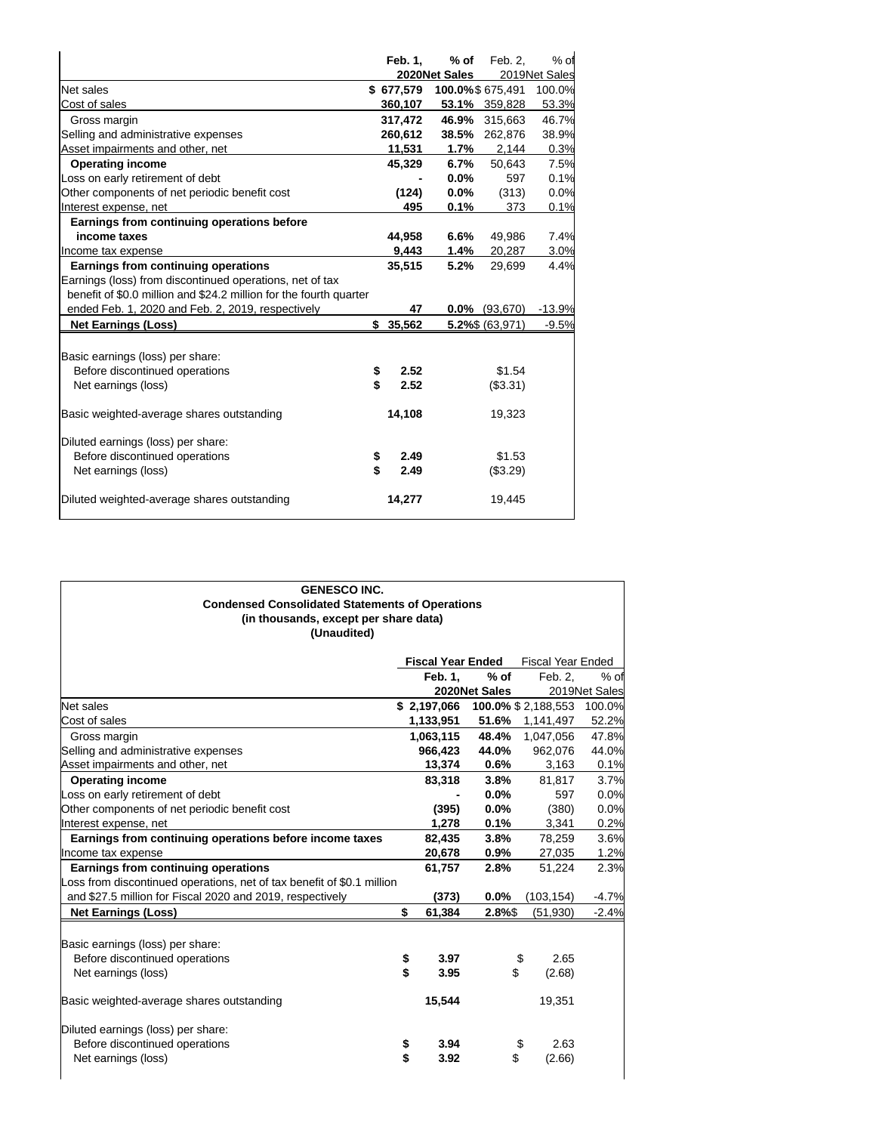|                                                                    | Feb. 1,    | % of          | Feb. 2,          | $%$ of        |
|--------------------------------------------------------------------|------------|---------------|------------------|---------------|
|                                                                    |            | 2020Net Sales |                  | 2019Net Sales |
| Net sales                                                          | \$677,579  |               | 100.0%\$675,491  | 100.0%        |
| Cost of sales                                                      | 360,107    |               | 53.1% 359,828    | 53.3%         |
| Gross margin                                                       | 317,472    | 46.9%         | 315,663          | 46.7%         |
| Selling and administrative expenses                                | 260.612    | 38.5%         | 262,876          | 38.9%         |
| Asset impairments and other, net                                   | 11,531     |               | $1.7\%$ 2,144    | 0.3%          |
| <b>Operating income</b>                                            | 45,329     | 6.7%          | 50,643           | 7.5%          |
| Loss on early retirement of debt                                   |            | $0.0\%$       | 597              | 0.1%          |
| Other components of net periodic benefit cost                      | (124)      | $0.0\%$       | (313)            | 0.0%          |
| Interest expense, net                                              | 495        | 0.1%          | 373              | 0.1%          |
| Earnings from continuing operations before                         |            |               |                  |               |
| income taxes                                                       | 44,958     | 6.6%          | 49,986           | 7.4%          |
| Income tax expense                                                 | 9,443      | 1.4%          | 20,287           | 3.0%          |
| Earnings from continuing operations                                | 35,515     | 5.2%          | 29,699           | 4.4%          |
| Earnings (loss) from discontinued operations, net of tax           |            |               |                  |               |
| benefit of \$0.0 million and \$24.2 million for the fourth quarter |            |               |                  |               |
| ended Feb. 1, 2020 and Feb. 2, 2019, respectively                  | 47         |               | $0.0\%$ (93,670) | $-13.9%$      |
| <b>Net Earnings (Loss)</b>                                         | \$35,562   |               | 5.2%\$ (63,971)  | $-9.5%$       |
|                                                                    |            |               |                  |               |
| Basic earnings (loss) per share:                                   |            |               |                  |               |
| Before discontinued operations                                     | \$<br>2.52 |               | \$1.54           |               |
| Net earnings (loss)                                                | \$<br>2.52 |               | (\$3.31)         |               |
|                                                                    |            |               |                  |               |
| Basic weighted-average shares outstanding                          | 14,108     |               | 19,323           |               |
|                                                                    |            |               |                  |               |
| Diluted earnings (loss) per share:                                 |            |               |                  |               |
| Before discontinued operations                                     | \$<br>2.49 |               | \$1.53           |               |
| Net earnings (loss)                                                | \$<br>2.49 |               | (\$3.29)         |               |
| Diluted weighted-average shares outstanding                        | 14,277     |               | 19,445           |               |

### **GENESCO INC. Condensed Consolidated Statements of Operations (in thousands, except per share data) (Unaudited)**

|                                                                        | <b>Fiscal Year Ended</b> |                |               | <b>Fiscal Year Ended</b>   |               |
|------------------------------------------------------------------------|--------------------------|----------------|---------------|----------------------------|---------------|
|                                                                        |                          | <b>Feb. 1.</b> | $%$ of        | Feb. 2.                    | $%$ of        |
|                                                                        |                          |                | 2020Net Sales |                            | 2019Net Sales |
| <b>Net sales</b>                                                       |                          | \$2.197.066    |               | <b>100.0% \$ 2.188.553</b> | 100.0%        |
| Cost of sales                                                          |                          | 1,133,951      | 51.6%         | 1,141,497                  | 52.2%         |
| Gross margin                                                           |                          | 1,063,115      | 48.4%         | 1,047,056                  | 47.8%         |
| Selling and administrative expenses                                    |                          | 966.423        | 44.0%         | 962,076                    | 44.0%         |
| Asset impairments and other, net                                       |                          | 13,374         | 0.6%          | 3,163                      | 0.1%          |
| <b>Operating income</b>                                                |                          | 83,318         | 3.8%          | 81,817                     | 3.7%          |
| Loss on early retirement of debt                                       |                          |                | $0.0\%$       | 597                        | 0.0%          |
| Other components of net periodic benefit cost                          |                          | (395)          | 0.0%          | (380)                      | 0.0%          |
| Interest expense, net                                                  |                          | 1,278          | 0.1%          | 3,341                      | 0.2%          |
| Earnings from continuing operations before income taxes                |                          | 82,435         | 3.8%          | 78,259                     | 3.6%          |
| Income tax expense                                                     |                          | 20,678         | $0.9\%$       | 27,035                     | 1.2%          |
| Earnings from continuing operations                                    |                          | 61,757         | 2.8%          | 51,224                     | 2.3%          |
| Loss from discontinued operations, net of tax benefit of \$0.1 million |                          |                |               |                            |               |
| and \$27.5 million for Fiscal 2020 and 2019, respectively              |                          | (373)          | 0.0%          | (103, 154)                 | -4.7%         |
| <b>Net Earnings (Loss)</b>                                             | \$                       | 61,384         | 2.8%\$        | (51, 930)                  | $-2.4%$       |
| Basic earnings (loss) per share:                                       |                          |                |               |                            |               |
| Before discontinued operations                                         | \$                       | 3.97           |               | 2.65<br>\$                 |               |
| Net earnings (loss)                                                    | \$                       | 3.95           | \$            | (2.68)                     |               |
| Basic weighted-average shares outstanding                              |                          | 15,544         |               | 19,351                     |               |
| Diluted earnings (loss) per share:                                     |                          |                |               |                            |               |
| Before discontinued operations                                         | \$                       | 3.94           |               | \$<br>2.63                 |               |
| Net earnings (loss)                                                    | \$                       | 3.92           | \$            | (2.66)                     |               |
|                                                                        |                          |                |               |                            |               |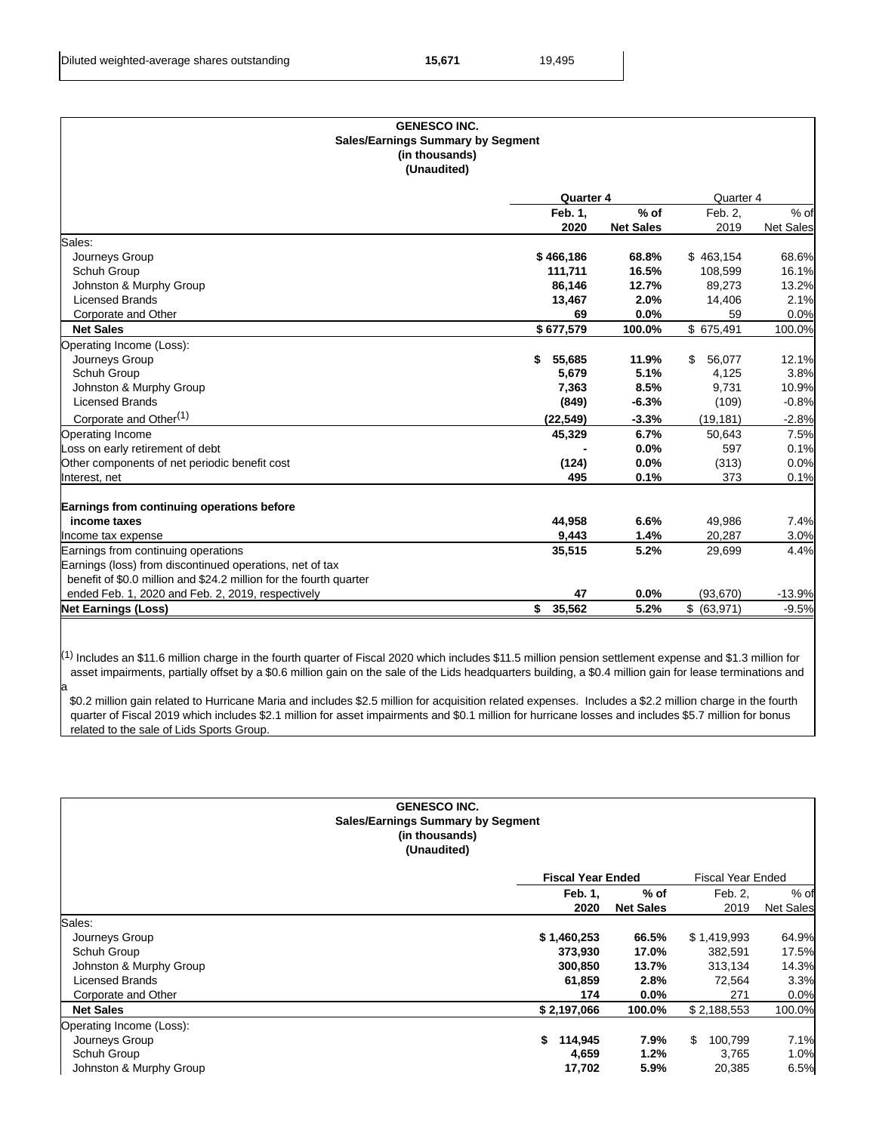a

|                                                                    |                  |                  | <b>GENESCO INC.</b><br><b>Sales/Earnings Summary by Segment</b> |                  |  |  |  |  |  |  |
|--------------------------------------------------------------------|------------------|------------------|-----------------------------------------------------------------|------------------|--|--|--|--|--|--|
| (in thousands)                                                     |                  |                  |                                                                 |                  |  |  |  |  |  |  |
| (Unaudited)                                                        |                  |                  |                                                                 |                  |  |  |  |  |  |  |
|                                                                    | <b>Quarter 4</b> |                  | Quarter 4                                                       |                  |  |  |  |  |  |  |
|                                                                    | Feb. 1,          | $%$ of           | Feb. 2,                                                         | $%$ of           |  |  |  |  |  |  |
|                                                                    | 2020             | <b>Net Sales</b> | 2019                                                            | <b>Net Sales</b> |  |  |  |  |  |  |
| Sales:                                                             |                  |                  |                                                                 |                  |  |  |  |  |  |  |
| Journeys Group                                                     | \$466,186        | 68.8%            | \$463,154                                                       | 68.6%            |  |  |  |  |  |  |
| Schuh Group                                                        | 111,711          | 16.5%            | 108,599                                                         | 16.1%            |  |  |  |  |  |  |
| Johnston & Murphy Group                                            | 86,146           | 12.7%            | 89,273                                                          | 13.2%            |  |  |  |  |  |  |
| <b>Licensed Brands</b>                                             | 13,467           | 2.0%             | 14,406                                                          | 2.1%             |  |  |  |  |  |  |
| Corporate and Other                                                | 69               | 0.0%             | 59                                                              | 0.0%             |  |  |  |  |  |  |
| <b>Net Sales</b>                                                   | \$677,579        | 100.0%           | \$675,491                                                       | 100.0%           |  |  |  |  |  |  |
| Operating Income (Loss):                                           |                  |                  |                                                                 |                  |  |  |  |  |  |  |
| Journeys Group                                                     | 55,685<br>\$     | 11.9%            | 56,077<br>\$.                                                   | 12.1%            |  |  |  |  |  |  |
| Schuh Group                                                        | 5,679            | 5.1%             | 4,125                                                           | 3.8%             |  |  |  |  |  |  |
| Johnston & Murphy Group                                            | 7,363            | 8.5%             | 9,731                                                           | 10.9%            |  |  |  |  |  |  |
| <b>Licensed Brands</b>                                             | (849)            | $-6.3%$          | (109)                                                           | $-0.8%$          |  |  |  |  |  |  |
| Corporate and Other <sup>(1)</sup>                                 | (22, 549)        | $-3.3%$          | (19, 181)                                                       | $-2.8%$          |  |  |  |  |  |  |
| Operating Income                                                   | 45,329           | 6.7%             | 50,643                                                          | 7.5%             |  |  |  |  |  |  |
| Loss on early retirement of debt                                   |                  | 0.0%             | 597                                                             | 0.1%             |  |  |  |  |  |  |
| Other components of net periodic benefit cost                      | (124)            | 0.0%             | (313)                                                           | 0.0%             |  |  |  |  |  |  |
| Interest, net                                                      | 495              | 0.1%             | 373                                                             | 0.1%             |  |  |  |  |  |  |
| Earnings from continuing operations before                         |                  |                  |                                                                 |                  |  |  |  |  |  |  |
| income taxes                                                       | 44,958           | 6.6%             | 49,986                                                          | 7.4%             |  |  |  |  |  |  |
| Income tax expense                                                 | 9,443            | 1.4%             | 20,287                                                          | 3.0%             |  |  |  |  |  |  |
| Earnings from continuing operations                                | 35,515           | 5.2%             | 29,699                                                          | 4.4%             |  |  |  |  |  |  |
| Earnings (loss) from discontinued operations, net of tax           |                  |                  |                                                                 |                  |  |  |  |  |  |  |
| benefit of \$0.0 million and \$24.2 million for the fourth quarter |                  |                  |                                                                 |                  |  |  |  |  |  |  |
| ended Feb. 1, 2020 and Feb. 2, 2019, respectively                  | 47               | 0.0%             | (93, 670)                                                       | $-13.9%$         |  |  |  |  |  |  |
| <b>Net Earnings (Loss)</b>                                         | 35.562<br>\$     | 5.2%             | \$ (63,971)                                                     | $-9.5%$          |  |  |  |  |  |  |

 $^{(1)}$  Includes an \$11.6 million charge in the fourth quarter of Fiscal 2020 which includes \$11.5 million pension settlement expense and \$1.3 million for asset impairments, partially offset by a \$0.6 million gain on the sale of the Lids headquarters building, a \$0.4 million gain for lease terminations and

 \$0.2 million gain related to Hurricane Maria and includes \$2.5 million for acquisition related expenses. Includes a \$2.2 million charge in the fourth quarter of Fiscal 2019 which includes \$2.1 million for asset impairments and \$0.1 million for hurricane losses and includes \$5.7 million for bonus related to the sale of Lids Sports Group.

|                          | <b>GENESCO INC.</b><br><b>Sales/Earnings Summary by Segment</b><br>(in thousands)<br>(Unaudited) |                          |                  |                          |                  |
|--------------------------|--------------------------------------------------------------------------------------------------|--------------------------|------------------|--------------------------|------------------|
|                          |                                                                                                  | <b>Fiscal Year Ended</b> |                  | <b>Fiscal Year Ended</b> |                  |
|                          |                                                                                                  | Feb. 1,                  | $%$ of           | Feb. 2,                  | $%$ of           |
|                          |                                                                                                  | 2020                     | <b>Net Sales</b> | 2019                     | <b>Net Sales</b> |
| Sales:                   |                                                                                                  |                          |                  |                          |                  |
| Journeys Group           |                                                                                                  | \$1,460,253              | 66.5%            | \$1,419,993              | 64.9%            |
| Schuh Group              |                                                                                                  | 373,930                  | 17.0%            | 382,591                  | 17.5%            |
| Johnston & Murphy Group  |                                                                                                  | 300,850                  | 13.7%            | 313,134                  | 14.3%            |
| <b>Licensed Brands</b>   |                                                                                                  | 61,859                   | 2.8%             | 72,564                   | 3.3%             |
| Corporate and Other      |                                                                                                  | 174                      | $0.0\%$          | 271                      | 0.0%             |
| <b>Net Sales</b>         |                                                                                                  | \$2,197,066              | 100.0%           | \$2,188,553              | 100.0%           |
| Operating Income (Loss): |                                                                                                  |                          |                  |                          |                  |
| Journeys Group           |                                                                                                  | \$<br>114,945            | 7.9%             | \$<br>100,799            | 7.1%             |
| Schuh Group              |                                                                                                  | 4,659                    | 1.2%             | 3,765                    | 1.0%             |
| Johnston & Murphy Group  |                                                                                                  | 17,702                   | 5.9%             | 20,385                   | 6.5%             |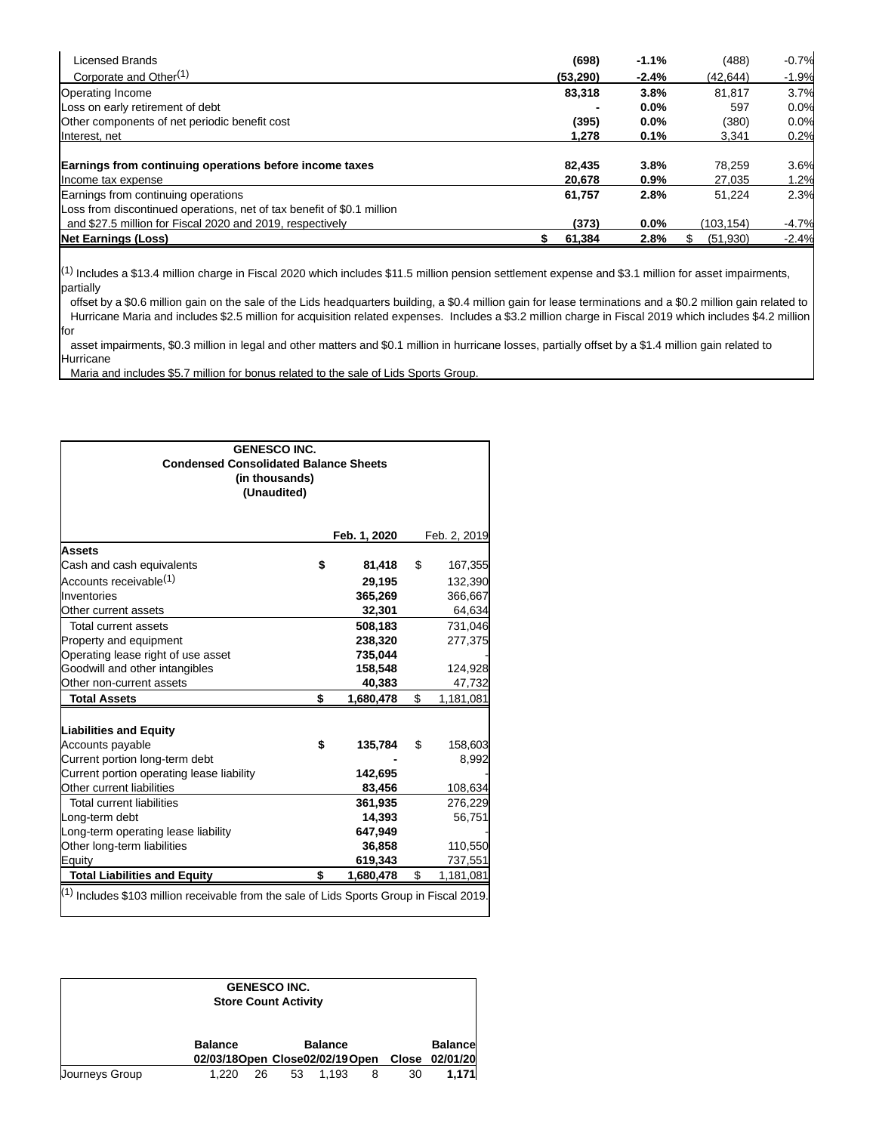| Licensed Brands                                                        | (698)    | $-1.1%$ | (488)     | $-0.7%$ |
|------------------------------------------------------------------------|----------|---------|-----------|---------|
| Corporate and Other <sup>(1)</sup>                                     | (53.290) | $-2.4%$ | (42.644)  | $-1.9%$ |
| Operating Income                                                       | 83.318   | 3.8%    | 81.817    | 3.7%    |
| Loss on early retirement of debt                                       |          | $0.0\%$ | 597       | 0.0%    |
| Other components of net periodic benefit cost                          | (395)    | $0.0\%$ | (380)     | 0.0%    |
| Interest, net                                                          | 1.278    | 0.1%    | 3,341     | 0.2%    |
|                                                                        |          |         |           |         |
| Earnings from continuing operations before income taxes                | 82,435   | 3.8%    | 78.259    | 3.6%    |
| Income tax expense                                                     | 20,678   | 0.9%    | 27,035    | 1.2%    |
| Earnings from continuing operations                                    | 61.757   | 2.8%    | 51.224    | 2.3%    |
| Loss from discontinued operations, net of tax benefit of \$0.1 million |          |         |           |         |
| and \$27.5 million for Fiscal 2020 and 2019, respectively              | (373)    | $0.0\%$ | (103.154) | $-4.7%$ |
| <b>Net Earnings (Loss)</b>                                             | 61,384   | 2.8%    | (51, 930) | $-2.4%$ |

 $(1)$  Includes a \$13.4 million charge in Fiscal 2020 which includes \$11.5 million pension settlement expense and \$3.1 million for asset impairments, partially

 offset by a \$0.6 million gain on the sale of the Lids headquarters building, a \$0.4 million gain for lease terminations and a \$0.2 million gain related to Hurricane Maria and includes \$2.5 million for acquisition related expenses. Includes a \$3.2 million charge in Fiscal 2019 which includes \$4.2 million for

 asset impairments, \$0.3 million in legal and other matters and \$0.1 million in hurricane losses, partially offset by a \$1.4 million gain related to Hurricane

Maria and includes \$5.7 million for bonus related to the sale of Lids Sports Group.

| <b>GENESCO INC.</b><br><b>Condensed Consolidated Balance Sheets</b><br>(in thousands)<br>(Unaudited) |    |              |    |              |  |  |
|------------------------------------------------------------------------------------------------------|----|--------------|----|--------------|--|--|
|                                                                                                      |    | Feb. 1, 2020 |    | Feb. 2, 2019 |  |  |
| <b>Assets</b>                                                                                        |    |              |    |              |  |  |
| Cash and cash equivalents                                                                            | S  | 81,418       | \$ | 167,355      |  |  |
| Accounts receivable <sup>(1)</sup>                                                                   |    | 29,195       |    | 132,390      |  |  |
| Inventories                                                                                          |    | 365,269      |    | 366,667      |  |  |
| Other current assets                                                                                 |    | 32,301       |    | 64,634       |  |  |
| Total current assets                                                                                 |    | 508,183      |    | 731,046      |  |  |
| Property and equipment                                                                               |    | 238,320      |    | 277,375      |  |  |
| Operating lease right of use asset                                                                   |    | 735,044      |    |              |  |  |
| Goodwill and other intangibles                                                                       |    | 158,548      |    | 124,928      |  |  |
| Other non-current assets                                                                             |    | 40,383       |    | 47,732       |  |  |
| <b>Total Assets</b>                                                                                  | \$ | 1,680,478    | \$ | 1,181,081    |  |  |
| <b>Liabilities and Equity</b>                                                                        |    |              |    |              |  |  |
| Accounts payable                                                                                     | \$ | 135,784      | \$ | 158,603      |  |  |
| Current portion long-term debt                                                                       |    |              |    | 8,992        |  |  |
| Current portion operating lease liability                                                            |    | 142,695      |    |              |  |  |
| Other current liabilities                                                                            |    | 83,456       |    | 108,634      |  |  |
| <b>Total current liabilities</b>                                                                     |    | 361,935      |    | 276,229      |  |  |
| Long-term debt                                                                                       |    | 14,393       |    | 56,751       |  |  |
| Long-term operating lease liability                                                                  |    | 647,949      |    |              |  |  |
| Other long-term liabilities                                                                          |    | 36,858       |    | 110,550      |  |  |
| Equity                                                                                               |    | 619,343      |    | 737,551      |  |  |
| <b>Total Liabilities and Equity</b>                                                                  | \$ | 1,680,478    | \$ | 1,181,081    |  |  |
| $^{(1)}$ Includes \$103 million receivable from the sale of Lids Sports Group in Fiscal 2019.        |    |              |    |              |  |  |

| <b>GENESCO INC.</b><br><b>Store Count Activity</b> |                                                  |    |    |                |   |    |                                  |  |  |
|----------------------------------------------------|--------------------------------------------------|----|----|----------------|---|----|----------------------------------|--|--|
|                                                    | <b>Balance</b><br>02/03/18Open Close02/02/19Open |    |    | <b>Balance</b> |   |    | <b>Balance</b><br>Close 02/01/20 |  |  |
| Journeys Group                                     | 1.220                                            | 26 | 53 | 1.193          | 8 | 30 | 1.171                            |  |  |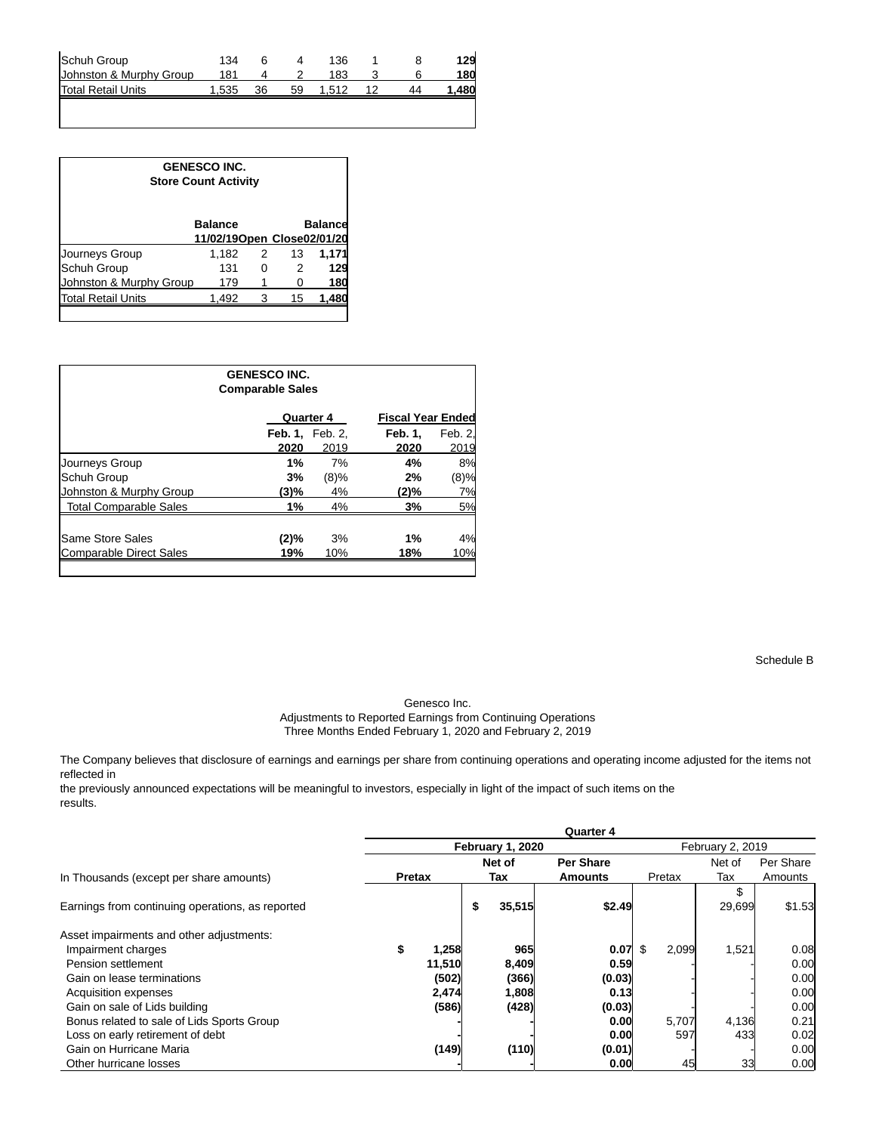| Schuh Group               | 134   |    |    | 136   |  | 129  |
|---------------------------|-------|----|----|-------|--|------|
| Johnston & Murphy Group   |       |    |    | 183   |  | 180  |
| <b>Total Retail Units</b> | 1.535 | 36 | 59 | 1.512 |  | .480 |
|                           |       |    |    |       |  |      |

| <b>GENESCO INC.</b><br><b>Store Count Activity</b> |                                              |   |    |                |  |  |  |  |
|----------------------------------------------------|----------------------------------------------|---|----|----------------|--|--|--|--|
|                                                    | <b>Balance</b><br>11/02/19Open Close02/01/20 |   |    | <b>Balance</b> |  |  |  |  |
| Journeys Group                                     | 1,182                                        | 2 | 13 | 1,171          |  |  |  |  |
| <b>Schuh Group</b>                                 | 131                                          | O | 2  | 129            |  |  |  |  |
| Johnston & Murphy Group                            | 179                                          |   |    | 180            |  |  |  |  |
| <b>Total Retail Units</b>                          | 1,492                                        |   | 15 | 1,48           |  |  |  |  |
|                                                    |                                              |   |    |                |  |  |  |  |

| <b>GENESCO INC.</b><br><b>Comparable Sales</b> |         |                                            |         |  |  |  |  |  |  |  |
|------------------------------------------------|---------|--------------------------------------------|---------|--|--|--|--|--|--|--|
|                                                |         | <b>Fiscal Year Ended</b>                   |         |  |  |  |  |  |  |  |
|                                                |         | <b>Feb. 1.</b>                             | Feb. 2. |  |  |  |  |  |  |  |
| 2020                                           | 2019    | 2020                                       | 2019    |  |  |  |  |  |  |  |
| 1%                                             | 7%      | 4%                                         | 8%      |  |  |  |  |  |  |  |
| 3%                                             | $(8)\%$ | 2%                                         | (8)%    |  |  |  |  |  |  |  |
| (3)%                                           | 4%      | $(2)\%$                                    | 7%      |  |  |  |  |  |  |  |
| 1%                                             | 4%      | 3%                                         | 5%      |  |  |  |  |  |  |  |
| (2)%                                           | 3%      | 1%                                         | 4%      |  |  |  |  |  |  |  |
| 19%                                            | 10%     | 18%                                        | 10%     |  |  |  |  |  |  |  |
|                                                |         | <b>Quarter 4</b><br><b>Feb. 1, Feb. 2,</b> |         |  |  |  |  |  |  |  |

Schedule B

Genesco Inc.

Adjustments to Reported Earnings from Continuing Operations Three Months Ended February 1, 2020 and February 2, 2019

The Company believes that disclosure of earnings and earnings per share from continuing operations and operating income adjusted for the items not reflected in

the previously announced expectations will be meaningful to investors, especially in light of the impact of such items on the results.

|                                                  | <b>Quarter 4</b> |                  |     |        |                  |              |                  |           |  |  |  |
|--------------------------------------------------|------------------|------------------|-----|--------|------------------|--------------|------------------|-----------|--|--|--|
|                                                  |                  | February 1, 2020 |     |        |                  |              | February 2, 2019 |           |  |  |  |
|                                                  |                  |                  |     | Net of | <b>Per Share</b> |              | Net of           | Per Share |  |  |  |
| In Thousands (except per share amounts)          | <b>Pretax</b>    |                  | Tax |        | Amounts          | Pretax       | Tax              | Amounts   |  |  |  |
| Earnings from continuing operations, as reported |                  |                  | \$  | 35,515 | \$2.49           |              | 29,699           | \$1.53    |  |  |  |
| Asset impairments and other adjustments:         |                  |                  |     |        |                  |              |                  |           |  |  |  |
| Impairment charges                               | \$               | 1,258            |     | 965    | 0.07             | 2,099<br>\$. | 1,521            | 0.08      |  |  |  |
| Pension settlement                               |                  | 11,510           |     | 8,409  | 0.59             |              |                  | 0.00      |  |  |  |
| Gain on lease terminations                       |                  | (502)            |     | (366)  | (0.03)           |              |                  | 0.00      |  |  |  |
| Acquisition expenses                             |                  | 2,474            |     | 1,808  | 0.13             |              |                  | 0.00      |  |  |  |
| Gain on sale of Lids building                    |                  | (586)            |     | (428)  | (0.03)           |              |                  | 0.00      |  |  |  |
| Bonus related to sale of Lids Sports Group       |                  |                  |     |        | 0.00             | 5,707        | 4,136            | 0.21      |  |  |  |
| Loss on early retirement of debt                 |                  |                  |     |        | 0.00             | 597          | 433              | 0.02      |  |  |  |
| Gain on Hurricane Maria                          |                  | (149)            |     | (110)  | (0.01)           |              |                  | 0.00      |  |  |  |
| Other hurricane losses                           |                  |                  |     |        | 0.00             | 45           | 33               | 0.00      |  |  |  |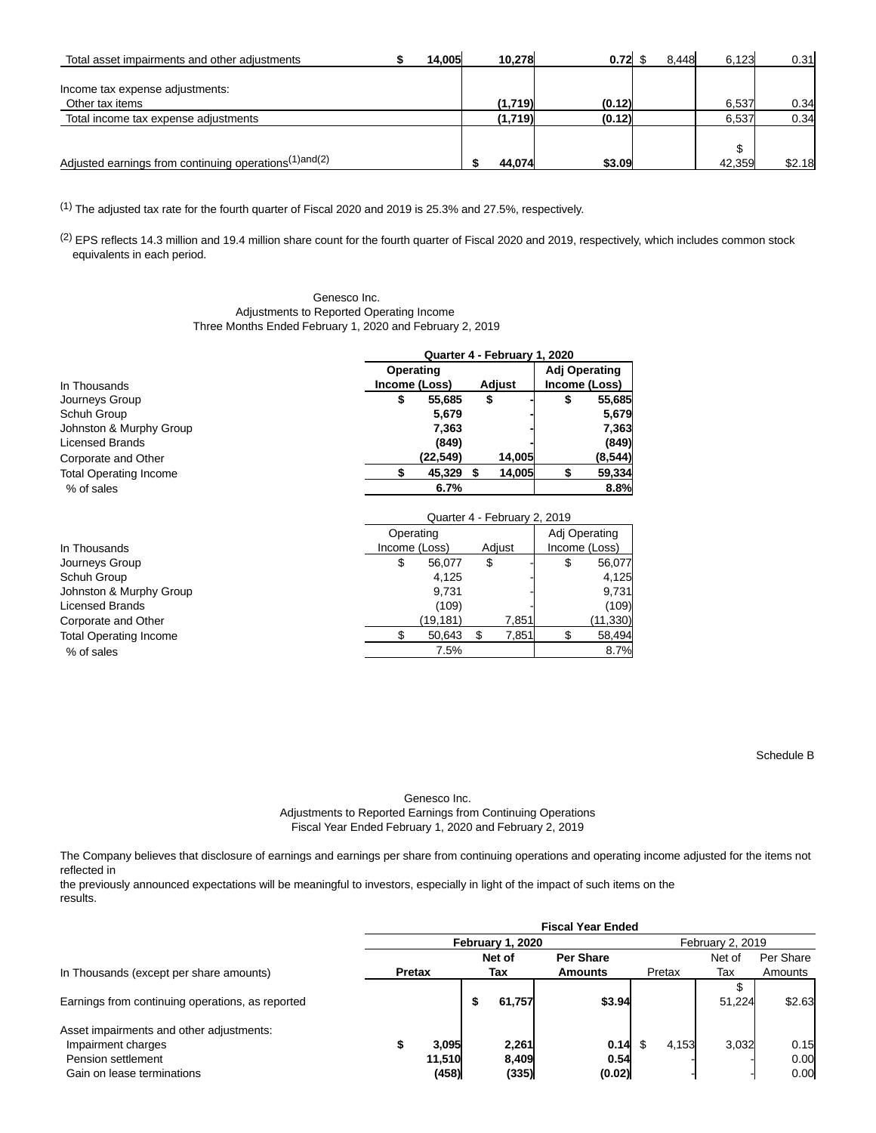| Total asset impairments and other adjustments                     | 14.005 | 10.278  | $0.72 \text{ }$ \$ | 8.448 | 6.123  | 0.31   |
|-------------------------------------------------------------------|--------|---------|--------------------|-------|--------|--------|
|                                                                   |        |         |                    |       |        |        |
| Income tax expense adjustments:                                   |        |         |                    |       |        |        |
| Other tax items                                                   |        | (1.719) | (0.12)             |       | 6.537  | 0.34   |
| Total income tax expense adjustments                              |        | (1,719) | (0.12)             |       | 6.537  | 0.34   |
|                                                                   |        |         |                    |       |        |        |
|                                                                   |        |         |                    |       | \$     |        |
| Adjusted earnings from continuing operations <sup>(1)and(2)</sup> |        | 44.074  | \$3.09             |       | 42,359 | \$2.18 |

(1) The adjusted tax rate for the fourth quarter of Fiscal 2020 and 2019 is 25.3% and 27.5%, respectively.

(2) EPS reflects 14.3 million and 19.4 million share count for the fourth quarter of Fiscal 2020 and 2019, respectively, which includes common stock equivalents in each period.

> Genesco Inc. Adjustments to Reported Operating Income Three Months Ended February 1, 2020 and February 2, 2019

|                               | Quarter 4 - February 1, 2020 |                              |               |                        |  |  |  |  |  |
|-------------------------------|------------------------------|------------------------------|---------------|------------------------|--|--|--|--|--|
|                               | Operating                    |                              | Adj Operating |                        |  |  |  |  |  |
| In Thousands                  | Income (Loss)                | Adjust                       |               | Income (Loss)          |  |  |  |  |  |
| Journeys Group                | \$<br>55,685                 | \$                           | \$            | 55,685                 |  |  |  |  |  |
| Schuh Group                   | 5.679                        |                              |               | 5,679                  |  |  |  |  |  |
| Johnston & Murphy Group       | 7.363                        |                              |               | 7,363                  |  |  |  |  |  |
| <b>Licensed Brands</b>        | (849)                        |                              |               | (849)                  |  |  |  |  |  |
| Corporate and Other           | (22,549)                     | 14,005                       |               | (8,544)                |  |  |  |  |  |
| <b>Total Operating Income</b> | 45.329                       | 14.005<br>S                  |               | 59,334                 |  |  |  |  |  |
| % of sales                    | 6.7%                         |                              |               | 8.8%                   |  |  |  |  |  |
|                               |                              | Quarter 4 - February 2, 2019 |               |                        |  |  |  |  |  |
|                               | Operating                    |                              |               | Adj Operating          |  |  |  |  |  |
| In Thousands                  | Income (Loss)                | Adiust                       |               | $lncome$ ( $l$ $oss$ ) |  |  |  |  |  |

| In Thousands                  |   | Adjust<br>Income (Loss) |    |       |    | Income (Loss) |  |  |  |
|-------------------------------|---|-------------------------|----|-------|----|---------------|--|--|--|
| Journeys Group                | S | 56.077                  | \$ |       | \$ | 56,077        |  |  |  |
| Schuh Group                   |   | 4.125                   |    |       |    | 4,125         |  |  |  |
| Johnston & Murphy Group       |   | 9.731                   |    |       |    | 9,731         |  |  |  |
| <b>Licensed Brands</b>        |   | (109)                   |    |       |    | (109)         |  |  |  |
| Corporate and Other           |   | (19, 181)               |    | 7.851 |    | (11,330)      |  |  |  |
| <b>Total Operating Income</b> |   | 50.643                  |    | 7,851 |    | 58,494        |  |  |  |
| % of sales                    |   | 7.5%                    |    |       |    | 8.7%          |  |  |  |

Schedule B

Genesco Inc. Adjustments to Reported Earnings from Continuing Operations Fiscal Year Ended February 1, 2020 and February 2, 2019

The Company believes that disclosure of earnings and earnings per share from continuing operations and operating income adjusted for the items not reflected in

the previously announced expectations will be meaningful to investors, especially in light of the impact of such items on the results.

|                                                  | <b>Fiscal Year Ended</b> |        |     |                  |                |        |                  |           |  |
|--------------------------------------------------|--------------------------|--------|-----|------------------|----------------|--------|------------------|-----------|--|
|                                                  |                          |        |     | February 1, 2020 |                |        | February 2, 2019 |           |  |
|                                                  |                          |        |     | Net of           | Per Share      |        | Net of           | Per Share |  |
| In Thousands (except per share amounts)          | <b>Pretax</b>            |        | Tax |                  | <b>Amounts</b> | Pretax | Tax              | Amounts   |  |
|                                                  |                          |        |     |                  |                |        | J                |           |  |
| Earnings from continuing operations, as reported |                          |        | ъ   | 61,757           | \$3.94         |        | 51.224           | \$2.63    |  |
| Asset impairments and other adjustments:         |                          |        |     |                  |                |        |                  |           |  |
| Impairment charges                               |                          | 3,095  |     | 2,261            | $0.14$ \$      | 4,153  | 3,032            | 0.15      |  |
| Pension settlement                               |                          | 11.510 |     | 8.409            | 0.54           |        |                  | 0.00      |  |
| Gain on lease terminations                       |                          | (458)  |     | (335)            | (0.02)         |        |                  | 0.00      |  |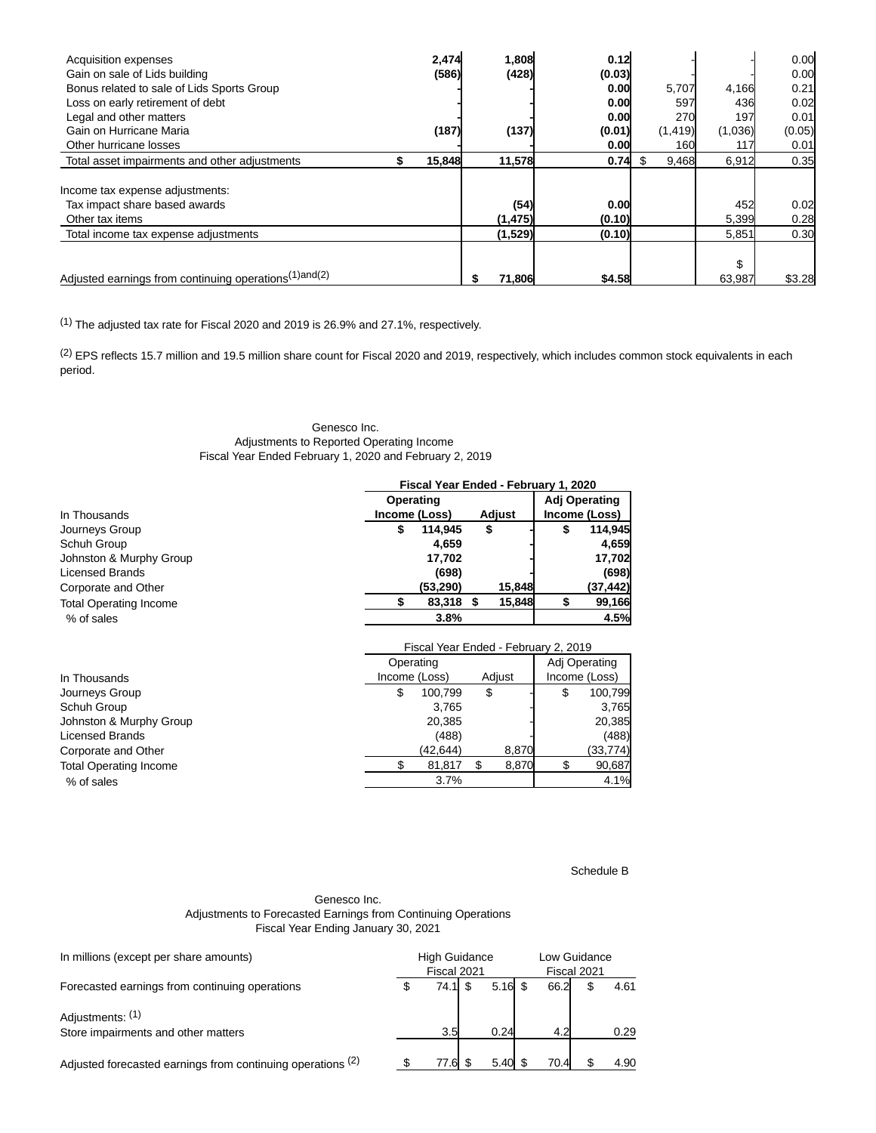| Acquisition expenses<br>Gain on sale of Lids building             | 2,474<br>(586) | 1,808<br>(428) | 0.12<br>(0.03) |      |          |         | 0.00<br>0.00 |
|-------------------------------------------------------------------|----------------|----------------|----------------|------|----------|---------|--------------|
| Bonus related to sale of Lids Sports Group                        |                |                | 0.00           |      | 5,707    | 4,166   | 0.21         |
| Loss on early retirement of debt                                  |                |                | 0.00           |      | 597      | 436     | 0.02         |
| Legal and other matters                                           |                |                | 0.00           |      | 270      | 197     | 0.01         |
| Gain on Hurricane Maria                                           | (187)          | (137)          | (0.01)         |      | (1, 419) | (1,036) | (0.05)       |
| Other hurricane losses                                            |                |                | 0.00           |      | 160      | 117     | 0.01         |
| Total asset impairments and other adjustments                     | 15,848         | 11,578         | 0.74           | - \$ | 9,468    | 6,912   | 0.35         |
|                                                                   |                |                |                |      |          |         |              |
| Income tax expense adjustments:                                   |                |                |                |      |          |         |              |
| Tax impact share based awards                                     |                | (54)           | 0.00           |      |          | 452     | 0.02         |
| Other tax items                                                   |                | (1, 475)       | (0.10)         |      |          | 5,399   | 0.28         |
| Total income tax expense adjustments                              |                | (1,529)        | (0.10)         |      |          | 5,851   | 0.30         |
|                                                                   |                |                |                |      |          |         |              |
|                                                                   |                |                |                |      |          | \$      |              |
| Adjusted earnings from continuing operations <sup>(1)and(2)</sup> |                | \$<br>71.806   | \$4.58         |      |          | 63.987  | \$3.28       |

(1) The adjusted tax rate for Fiscal 2020 and 2019 is 26.9% and 27.1%, respectively.

(2) EPS reflects 15.7 million and 19.5 million share count for Fiscal 2020 and 2019, respectively, which includes common stock equivalents in each period.

### Genesco Inc. Adjustments to Reported Operating Income Fiscal Year Ended February 1, 2020 and February 2, 2019

|                               | Fiscal Year Ended - February 1, 2020 |           |               |        |                      |               |  |  |  |
|-------------------------------|--------------------------------------|-----------|---------------|--------|----------------------|---------------|--|--|--|
|                               | Operating                            |           |               |        | <b>Adj Operating</b> |               |  |  |  |
| In Thousands                  | Income (Loss)                        |           | <b>Adjust</b> |        |                      | Income (Loss) |  |  |  |
| Journeys Group                | 114.945<br>S                         |           | \$            |        | S                    | 114,945       |  |  |  |
| Schuh Group                   |                                      | 4.659     |               |        |                      | 4,659         |  |  |  |
| Johnston & Murphy Group       |                                      | 17,702    |               |        |                      | 17,702        |  |  |  |
| <b>Licensed Brands</b>        |                                      | (698)     |               |        |                      | (698)         |  |  |  |
| Corporate and Other           | (53,290)                             |           |               | 15,848 |                      | (37, 442)     |  |  |  |
| <b>Total Operating Income</b> |                                      | 83,318 \$ |               | 15.848 |                      | 99,166        |  |  |  |
| % of sales                    |                                      | 3.8%      |               |        |                      | 4.5%          |  |  |  |
|                               |                                      |           |               |        |                      |               |  |  |  |

|                               |               | Fiscal Year Ended - February 2, 2019 |    |        |   |               |
|-------------------------------|---------------|--------------------------------------|----|--------|---|---------------|
|                               | Operating     |                                      |    |        |   | Adj Operating |
| In Thousands                  | Income (Loss) |                                      |    | Adjust |   | Income (Loss) |
| Journeys Group                | S             | 100.799                              | \$ |        | S | 100,799       |
| Schuh Group                   |               | 3.765                                |    |        |   | 3,765         |
| Johnston & Murphy Group       |               | 20,385                               |    |        |   | 20,385        |
| Licensed Brands               |               | (488)                                |    |        |   | (488)         |
| Corporate and Other           |               | (42,644)                             |    | 8,870  |   | (33,774)      |
| <b>Total Operating Income</b> |               | 81,817                               |    | 8,870  |   | 90,687        |
| % of sales                    |               | 3.7%                                 |    |        |   | 4.1%          |
|                               |               |                                      |    |        |   |               |

Schedule B

### Genesco Inc. Adjustments to Forecasted Earnings from Continuing Operations Fiscal Year Ending January 30, 2021

| In millions (except per share amounts)                      | <b>High Guidance</b><br>Fiscal 2021 |  | Low Guidance<br>Fiscal 2021 |      |  |      |
|-------------------------------------------------------------|-------------------------------------|--|-----------------------------|------|--|------|
| Forecasted earnings from continuing operations              | 74.1 \$                             |  | $5.16$ \$                   | 66.2 |  | 4.61 |
| Adjustments: (1)                                            |                                     |  |                             |      |  |      |
| Store impairments and other matters                         | 3.5                                 |  | 0.24                        | 4.2  |  | 0.29 |
| Adjusted forecasted earnings from continuing operations (2) | 77.6 \$                             |  | $5.40 \text{ }$ \$          | 70.4 |  | 4.90 |